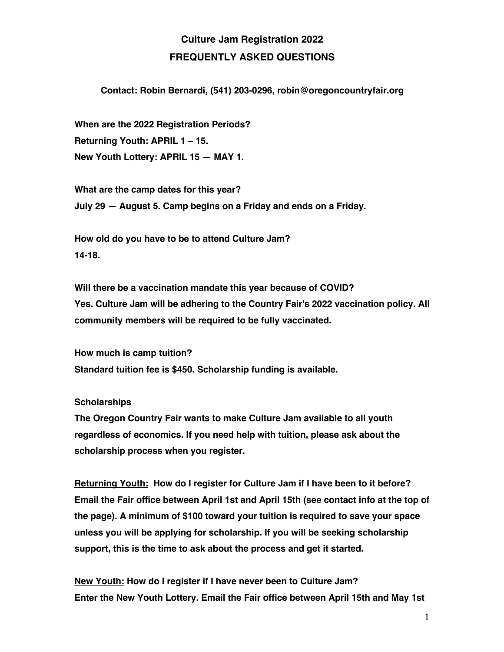## **Culture Jam Registration 2022 FREQUENTLY ASKED QUESTIONS**

## **Contact: Robin Bernardi, (541) 203-0296, robin@oregoncountryfair.org**

**When are the 2022 Registration Periods? Returning Youth: APRIL 1 – 15. New Youth Lottery: APRIL 15 — MAY 1.** 

**What are the camp dates for this year? July 29 — August 5. Camp begins on a Friday and ends on a Friday.**

**How old do you have to be to attend Culture Jam? 14-18.**

**Will there be a vaccination mandate this year because of COVID? Yes. Culture Jam will be adhering to the Country Fair's 2022 vaccination policy. All community members will be required to be fully vaccinated.**

**How much is camp tuition? Standard tuition fee is \$450. Scholarship funding is available.**

## **Scholarships**

**The Oregon Country Fair wants to make Culture Jam available to all youth regardless of economics. If you need help with tuition, please ask about the scholarship process when you register.**

**Returning Youth: How do I register for Culture Jam if I have been to it before? Email the Fair office between April 1st and April 15th (see contact info at the top of the page). A minimum of \$100 toward your tuition is required to save your space unless you will be applying for scholarship. If you will be seeking scholarship support, this is the time to ask about the process and get it started.**

**New Youth: How do I register if I have never been to Culture Jam? Enter the New Youth Lottery. Email the Fair office between April 15th and May 1st**